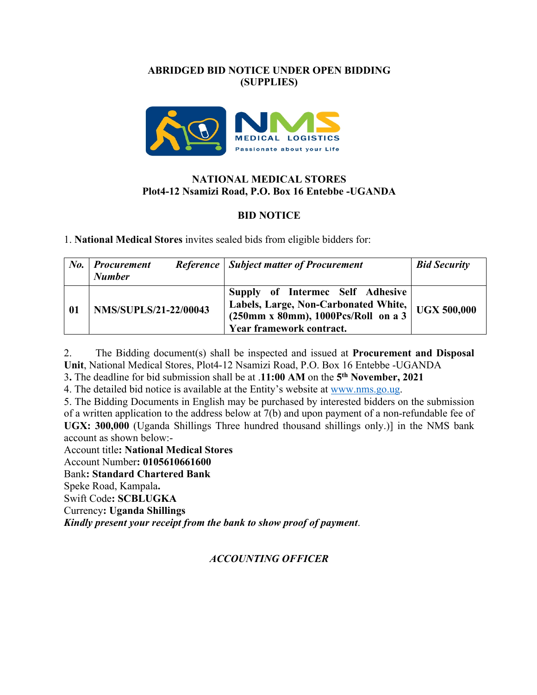## **ABRIDGED BID NOTICE UNDER OPEN BIDDING (SUPPLIES)**



## **NATIONAL MEDICAL STORES Plot4-12 Nsamizi Road, P.O. Box 16 Entebbe -UGANDA**

# **BID NOTICE**

1. **National Medical Stores** invites sealed bids from eligible bidders for:

| $N_{0.}$ | <b>Procurement</b><br><b>Number</b> | <b>Reference</b> Subject matter of Procurement                                                                                                 | <b>Bid Security</b> |
|----------|-------------------------------------|------------------------------------------------------------------------------------------------------------------------------------------------|---------------------|
| 01       | <b>NMS/SUPLS/21-22/00043</b>        | Supply of Intermec Self Adhesive<br>Labels, Large, Non-Carbonated White,<br>$(250mm x 80mm)$ , 1000Pcs/Roll on a 3<br>Year framework contract. | <b>UGX 500,000</b>  |

2. The Bidding document(s) shall be inspected and issued at **Procurement and Disposal Unit**, National Medical Stores, Plot4-12 Nsamizi Road, P.O. Box 16 Entebbe -UGANDA

3**.** The deadline for bid submission shall be at .**11:00 AM** on the **5th November, 2021**

4. The detailed bid notice is available at the Entity's website at www.nms.go.ug.

5. The Bidding Documents in English may be purchased by interested bidders on the submission of a written application to the address below at 7(b) and upon payment of a non-refundable fee of **UGX: 300,000** (Uganda Shillings Three hundred thousand shillings only.)] in the NMS bank account as shown below:-

Account title**: National Medical Stores** Account Number**: 0105610661600** Bank**: Standard Chartered Bank** Speke Road, Kampala**.** Swift Code**: SCBLUGKA** Currency**: Uganda Shillings** *Kindly present your receipt from the bank to show proof of payment*.

### *ACCOUNTING OFFICER*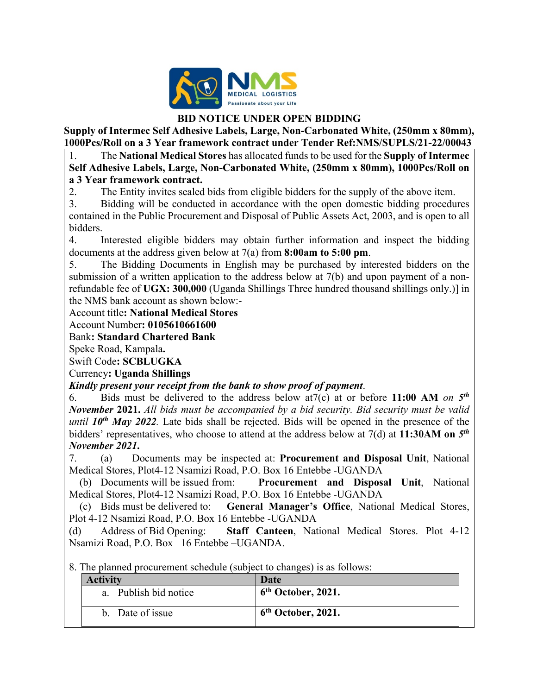

## **BID NOTICE UNDER OPEN BIDDING**

**Supply of Intermec Self Adhesive Labels, Large, Non-Carbonated White, (250mm x 80mm), 1000Pcs/Roll on a 3 Year framework contract under Tender Ref:NMS/SUPLS/21-22/00043**

1. The **National Medical Stores** has allocated funds to be used for the **Supply of Intermec Self Adhesive Labels, Large, Non-Carbonated White, (250mm x 80mm), 1000Pcs/Roll on a 3 Year framework contract.** 

2. The Entity invites sealed bids from eligible bidders for the supply of the above item.

3. Bidding will be conducted in accordance with the open domestic bidding procedures contained in the Public Procurement and Disposal of Public Assets Act, 2003, and is open to all bidders.

4. Interested eligible bidders may obtain further information and inspect the bidding documents at the address given below at 7(a) from **8:00am to 5:00 pm**.

5. The Bidding Documents in English may be purchased by interested bidders on the submission of a written application to the address below at 7(b) and upon payment of a nonrefundable fee of **UGX: 300,000** (Uganda Shillings Three hundred thousand shillings only.)] in the NMS bank account as shown below:-

# Account title**: National Medical Stores**

Account Number**: 0105610661600**

Bank**: Standard Chartered Bank**

Speke Road, Kampala**.**

Swift Code**: SCBLUGKA**

Currency**: Uganda Shillings**

### *Kindly present your receipt from the bank to show proof of payment*.

6. Bids must be delivered to the address below at7(c) at or before **11:00 AM** *on 5th November* **2021.** *All bids must be accompanied by a bid security. Bid security must be valid until*  $10^{th}$  *May 2022*. Late bids shall be rejected. Bids will be opened in the presence of the bidders' representatives, who choose to attend at the address below at 7(d) at **11:30AM on** *5th November 2021***.**

7. (a) Documents may be inspected at: **Procurement and Disposal Unit**, National Medical Stores, Plot4-12 Nsamizi Road, P.O. Box 16 Entebbe -UGANDA

 (b) Documents will be issued from: **Procurement and Disposal Unit**, National Medical Stores, Plot4-12 Nsamizi Road, P.O. Box 16 Entebbe -UGANDA

 (c) Bids must be delivered to: **General Manager's Office**, National Medical Stores, Plot 4-12 Nsamizi Road, P.O. Box 16 Entebbe -UGANDA

(d) Address of Bid Opening: **Staff Canteen**, National Medical Stores. Plot 4-12 Nsamizi Road, P.O. Box 16 Entebbe –UGANDA.

8. The planned procurement schedule (subject to changes) is as follows:

| <b>Activity</b>       | Date                           |
|-----------------------|--------------------------------|
| a. Publish bid notice | $6th$ October, 2021.           |
| b. Date of issue      | 6 <sup>th</sup> October, 2021. |